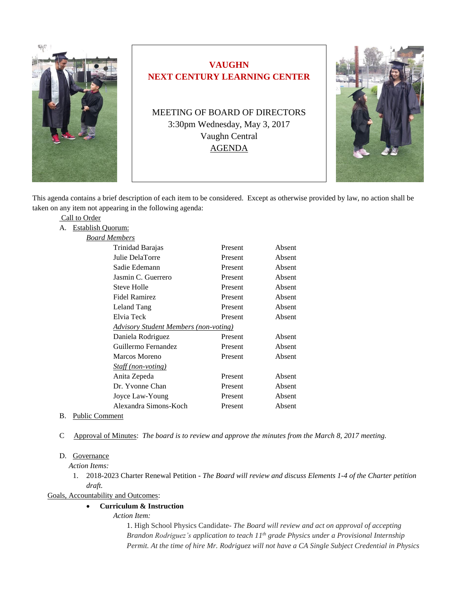

# **VAUGHN NEXT CENTURY LEARNING CENTER**

MEETING OF BOARD OF DIRECTORS 3:30pm Wednesday, May 3, 2017 Vaughn Central AGENDA



This agenda contains a brief description of each item to be considered. Except as otherwise provided by law, no action shall be taken on any item not appearing in the following agenda:

|    | Call to Order            |                                              |         |        |
|----|--------------------------|----------------------------------------------|---------|--------|
| А. | <b>Establish Quorum:</b> |                                              |         |        |
|    | Board Members            |                                              |         |        |
|    |                          | Trinidad Barajas                             | Present | Absent |
|    |                          | Julie DelaTorre                              | Present | Absent |
|    |                          | Sadie Edemann                                | Present | Absent |
|    |                          | Jasmin C. Guerrero                           | Present | Absent |
|    |                          | Steve Holle                                  | Present | Absent |
|    |                          | <b>Fidel Ramirez</b>                         | Present | Absent |
|    |                          | Leland Tang                                  | Present | Absent |
|    |                          | Elvia Teck                                   | Present | Absent |
|    |                          | <b>Advisory Student Members (non-voting)</b> |         |        |
|    |                          | Daniela Rodriguez                            | Present | Absent |
|    |                          | Guillermo Fernandez                          | Present | Absent |
|    |                          | Marcos Moreno                                | Present | Absent |
|    |                          | <b>Staff</b> (non-voting)                    |         |        |
|    |                          | Anita Zepeda                                 | Present | Absent |
|    |                          | Dr. Yvonne Chan                              | Present | Absent |
|    |                          | Joyce Law-Young                              | Present | Absent |
|    |                          | Alexandra Simons-Koch                        | Present | Absent |
|    |                          |                                              |         |        |

- B. Public Comment
- C Approval of Minutes: *The board is to review and approve the minutes from the March 8, 2017 meeting.*

# D. Governance

 *Action Items:*

1. 2018-2023 Charter Renewal Petition - *The Board will review and discuss Elements 1-4 of the Charter petition draft.*

Goals, Accountability and Outcomes:

## **Curriculum & Instruction**

*Action Item:*

1. High School Physics Candidate- *The Board will review and act on approval of accepting Brandon Rodriguez's application to teach 11th grade Physics under a Provisional Internship Permit. At the time of hire Mr. Rodriguez will not have a CA Single Subject Credential in Physics*